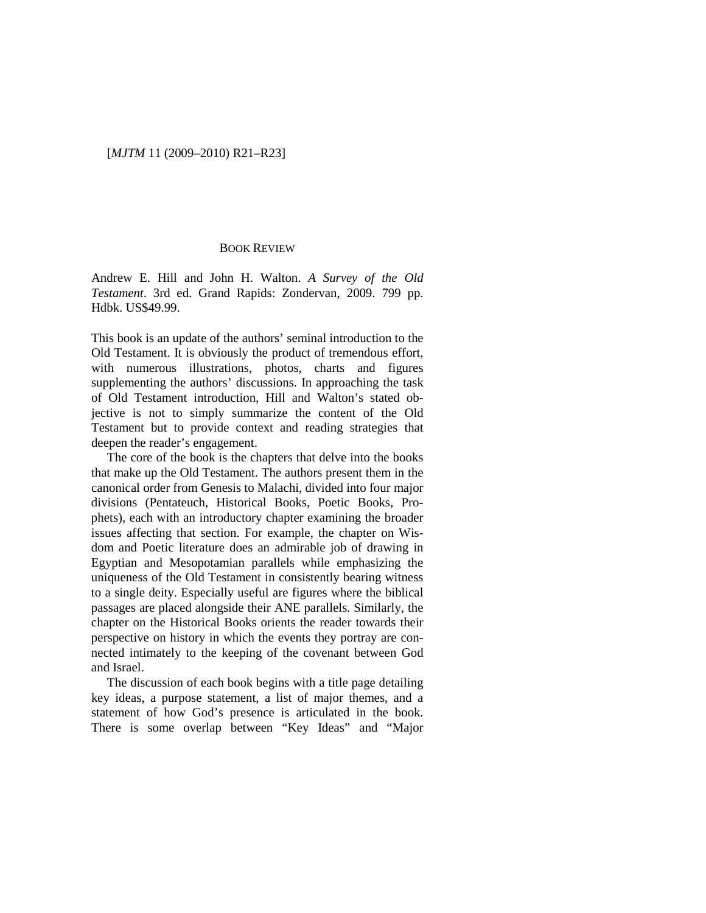## [*MJTM* 11 (2009–2010) R21–R23]

## BOOK REVIEW

Andrew E. Hill and John H. Walton. *A Survey of the Old Testament*. 3rd ed. Grand Rapids: Zondervan, 2009. 799 pp. Hdbk. US\$49.99.

This book is an update of the authors' seminal introduction to the Old Testament. It is obviously the product of tremendous effort, with numerous illustrations, photos, charts and figures supplementing the authors' discussions. In approaching the task of Old Testament introduction, Hill and Walton's stated objective is not to simply summarize the content of the Old Testament but to provide context and reading strategies that deepen the reader's engagement.

The core of the book is the chapters that delve into the books that make up the Old Testament. The authors present them in the canonical order from Genesis to Malachi, divided into four major divisions (Pentateuch, Historical Books, Poetic Books, Prophets), each with an introductory chapter examining the broader issues affecting that section. For example, the chapter on Wisdom and Poetic literature does an admirable job of drawing in Egyptian and Mesopotamian parallels while emphasizing the uniqueness of the Old Testament in consistently bearing witness to a single deity. Especially useful are figures where the biblical passages are placed alongside their ANE parallels. Similarly, the chapter on the Historical Books orients the reader towards their perspective on history in which the events they portray are connected intimately to the keeping of the covenant between God and Israel.

The discussion of each book begins with a title page detailing key ideas, a purpose statement, a list of major themes, and a statement of how God's presence is articulated in the book. There is some overlap between "Key Ideas" and "Major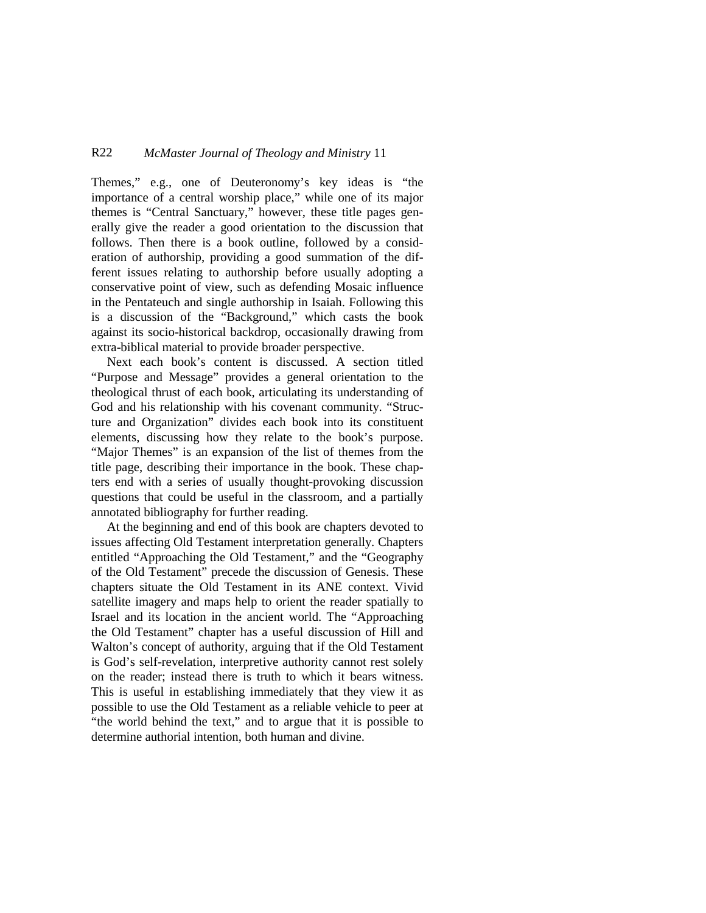## R22 *McMaster Journal of Theology and Ministry* 11

Themes," e.g., one of Deuteronomy's key ideas is "the importance of a central worship place," while one of its major themes is "Central Sanctuary," however, these title pages generally give the reader a good orientation to the discussion that follows. Then there is a book outline, followed by a consideration of authorship, providing a good summation of the different issues relating to authorship before usually adopting a conservative point of view, such as defending Mosaic influence in the Pentateuch and single authorship in Isaiah. Following this is a discussion of the "Background," which casts the book against its socio-historical backdrop, occasionally drawing from extra-biblical material to provide broader perspective.

Next each book's content is discussed. A section titled "Purpose and Message" provides a general orientation to the theological thrust of each book, articulating its understanding of God and his relationship with his covenant community. "Structure and Organization" divides each book into its constituent elements, discussing how they relate to the book's purpose. "Major Themes" is an expansion of the list of themes from the title page, describing their importance in the book. These chapters end with a series of usually thought-provoking discussion questions that could be useful in the classroom, and a partially annotated bibliography for further reading.

At the beginning and end of this book are chapters devoted to issues affecting Old Testament interpretation generally. Chapters entitled "Approaching the Old Testament," and the "Geography of the Old Testament" precede the discussion of Genesis. These chapters situate the Old Testament in its ANE context. Vivid satellite imagery and maps help to orient the reader spatially to Israel and its location in the ancient world. The "Approaching the Old Testament" chapter has a useful discussion of Hill and Walton's concept of authority, arguing that if the Old Testament is God's self-revelation, interpretive authority cannot rest solely on the reader; instead there is truth to which it bears witness. This is useful in establishing immediately that they view it as possible to use the Old Testament as a reliable vehicle to peer at "the world behind the text," and to argue that it is possible to determine authorial intention, both human and divine.